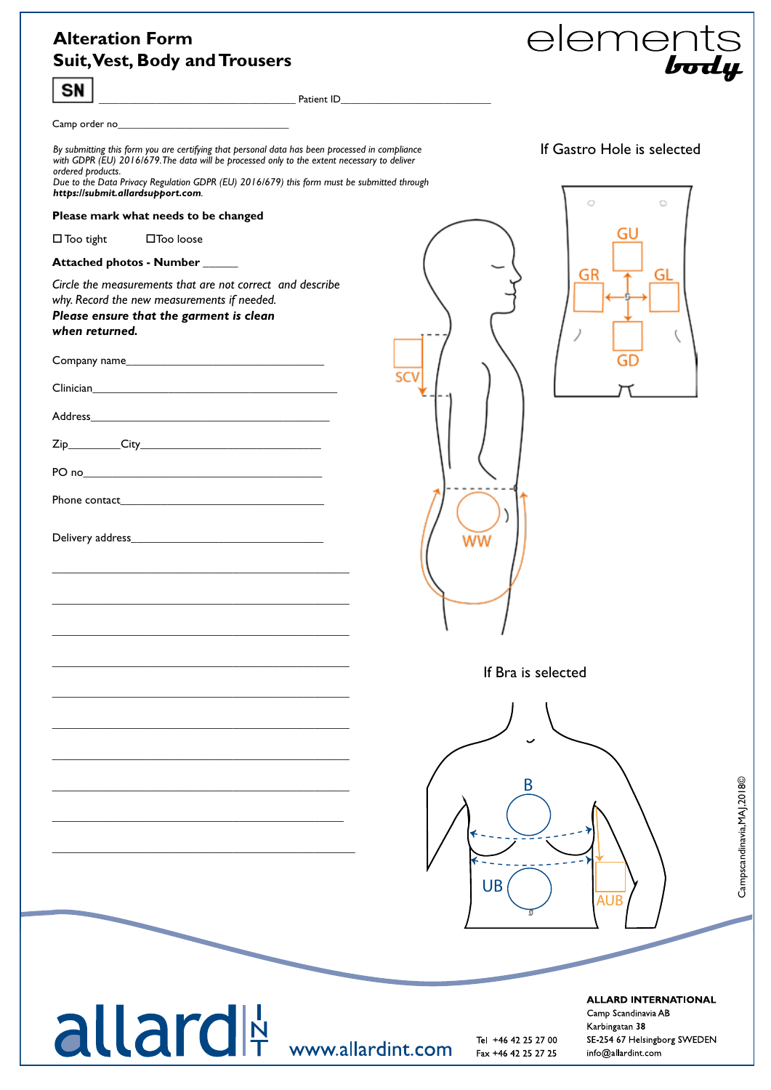## **Alteration Form Suit, Vest, Body and Trousers**

 $|\sin|$ 



Campscandinavia,MAJ,2018©

Campscandinavia, MAJ, 2018©

|                                                                                                                                                                                                                                                                                                                  | <u>Patient ID</u> <b>Example 2008 Patient ID Patient ID</b> |                                                                                                                            |
|------------------------------------------------------------------------------------------------------------------------------------------------------------------------------------------------------------------------------------------------------------------------------------------------------------------|-------------------------------------------------------------|----------------------------------------------------------------------------------------------------------------------------|
|                                                                                                                                                                                                                                                                                                                  |                                                             |                                                                                                                            |
| By submitting this form you are certifying that personal data has been processed in compliance<br>with GDPR (EU) 2016/679. The data will be processed only to the extent necessary to deliver<br>ordered products.<br>Due to the Data Privacy Regulation GDPR (EU) 2016/679) this form must be submitted through |                                                             | If Gastro Hole is selected                                                                                                 |
| https://submit.allardsupport.com.<br>Please mark what needs to be changed                                                                                                                                                                                                                                        |                                                             | Ō<br>Ö                                                                                                                     |
| □Too loose<br>$\square$ Too tight                                                                                                                                                                                                                                                                                |                                                             |                                                                                                                            |
| Attached photos - Number _____                                                                                                                                                                                                                                                                                   |                                                             |                                                                                                                            |
| Circle the measurements that are not correct and describe<br>why. Record the new measurements if needed.<br>Please ensure that the garment is clean<br>when returned.                                                                                                                                            |                                                             | GR<br>GL                                                                                                                   |
| Company name                                                                                                                                                                                                                                                                                                     |                                                             |                                                                                                                            |
|                                                                                                                                                                                                                                                                                                                  |                                                             |                                                                                                                            |
|                                                                                                                                                                                                                                                                                                                  |                                                             |                                                                                                                            |
|                                                                                                                                                                                                                                                                                                                  |                                                             |                                                                                                                            |
|                                                                                                                                                                                                                                                                                                                  |                                                             |                                                                                                                            |
|                                                                                                                                                                                                                                                                                                                  |                                                             |                                                                                                                            |
| <u> 1989 - Johann Stoff, amerikansk politiker (d. 1989)</u>                                                                                                                                                                                                                                                      | ww                                                          |                                                                                                                            |
|                                                                                                                                                                                                                                                                                                                  |                                                             |                                                                                                                            |
|                                                                                                                                                                                                                                                                                                                  |                                                             | If Bra is selected                                                                                                         |
|                                                                                                                                                                                                                                                                                                                  |                                                             |                                                                                                                            |
|                                                                                                                                                                                                                                                                                                                  |                                                             | B                                                                                                                          |
|                                                                                                                                                                                                                                                                                                                  | <b>UB</b>                                                   | <b>AUB</b>                                                                                                                 |
| allard <sup>N</sup> www.allardint.com                                                                                                                                                                                                                                                                            | Tel +46 42 25 27 00<br>Fax +46 42 25 27 25                  | <b>ALLARD INTERNATIONAL</b><br>Camp Scandinavia AB<br>Karbingatan 38<br>SE 254 67 Helsingborg SWEDEN<br>info@allardint.com |